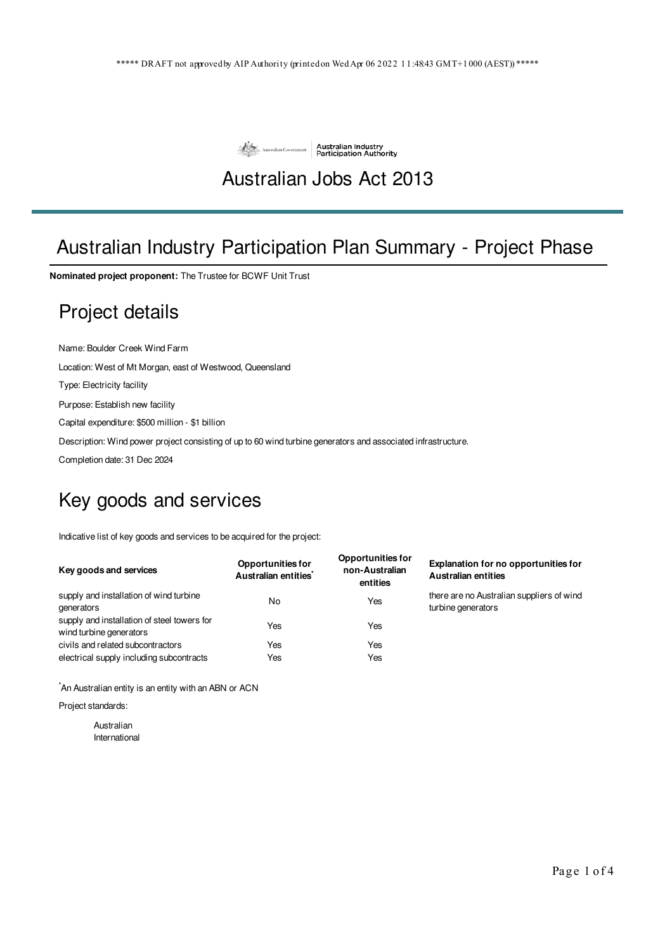

#### Australian Jobs Act 2013

# Australian Industry Participation Plan Summary - Project Phase

**Nominated project proponent:** The Trustee for BCWF Unit Trust

#### Project details

Name: Boulder Creek Wind Farm

Location: West of Mt Morgan, east of Westwood, Queensland

Type: Electricity facility

Purpose: Establish new facility

Capital expenditure: \$500 million - \$1 billion

Description: Wind power project consisting of up to 60 wind turbine generators and associated infrastructure.

Completion date: 31 Dec 2024

## Key goods and services

Indicative list of key goods and services to be acquired for the project:

| Key goods and services                                                 | <b>Opportunities for</b><br>Australian entities <sup>*</sup> | <b>Opportunities for</b><br>non-Australian<br>entities | Explanation for no opportunities for<br><b>Australian entities</b> |
|------------------------------------------------------------------------|--------------------------------------------------------------|--------------------------------------------------------|--------------------------------------------------------------------|
| supply and installation of wind turbine<br>generators                  | No                                                           | Yes                                                    | there are no Australian suppliers of wind<br>turbine generators    |
| supply and installation of steel towers for<br>wind turbine generators | Yes                                                          | Yes                                                    |                                                                    |
| civils and related subcontractors                                      | Yes                                                          | Yes                                                    |                                                                    |
| electrical supply including subcontracts                               | Yes                                                          | Yes                                                    |                                                                    |

\*An Australian entity is an entity with an ABN or ACN

Project standards:

Australian International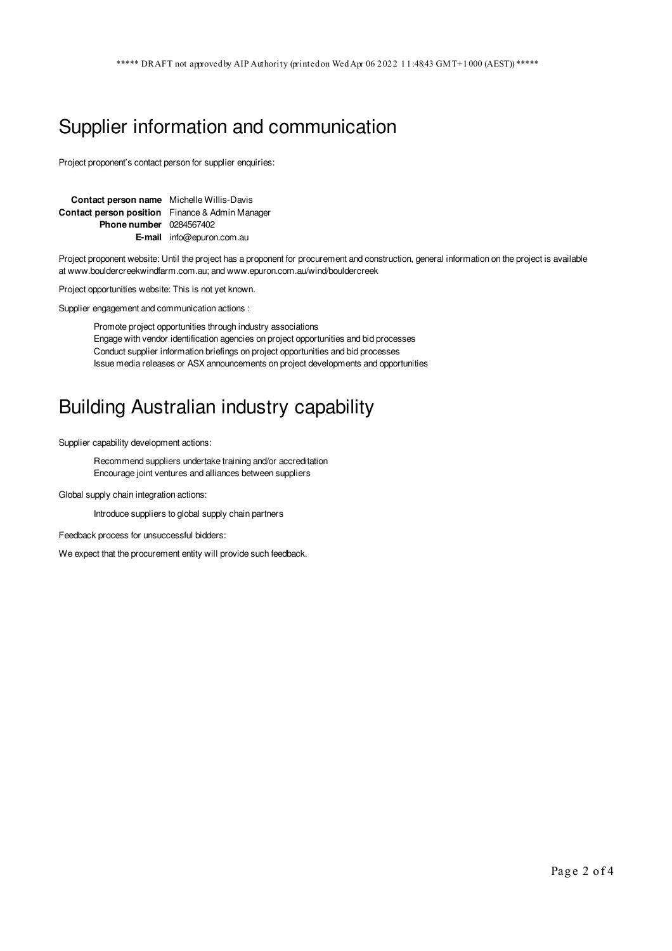## Supplier information and communication

Project proponent's contact person for supplier enquiries:

| Contact person name Michelle Willis-Davis              |                                  |
|--------------------------------------------------------|----------------------------------|
| <b>Contact person position</b> Finance & Admin Manager |                                  |
| <b>Phone number</b> 0284567402                         |                                  |
|                                                        | <b>E-mail</b> info@epuron.com.au |

Project proponent website: Until the project has a proponent for procurement and construction, general information on the project is available at www.bouldercreekwindfarm.com.au; and www.epuron.com.au/wind/bouldercreek

Project opportunities website: This is not yet known.

Supplier engagement and communication actions :

Promote project opportunities through industry associations Engage with vendor identification agencies on project opportunities and bid processes Conduct supplier information briefings on project opportunities and bid processes Issue media releases or ASX announcements on project developments and opportunities

## Building Australian industry capability

Supplier capability development actions:

Recommend suppliers undertake training and/or accreditation Encourage joint ventures and alliances between suppliers

Global supply chain integration actions:

Introduce suppliers to global supply chain partners

Feedback process for unsuccessful bidders:

We expect that the procurement entity will provide such feedback.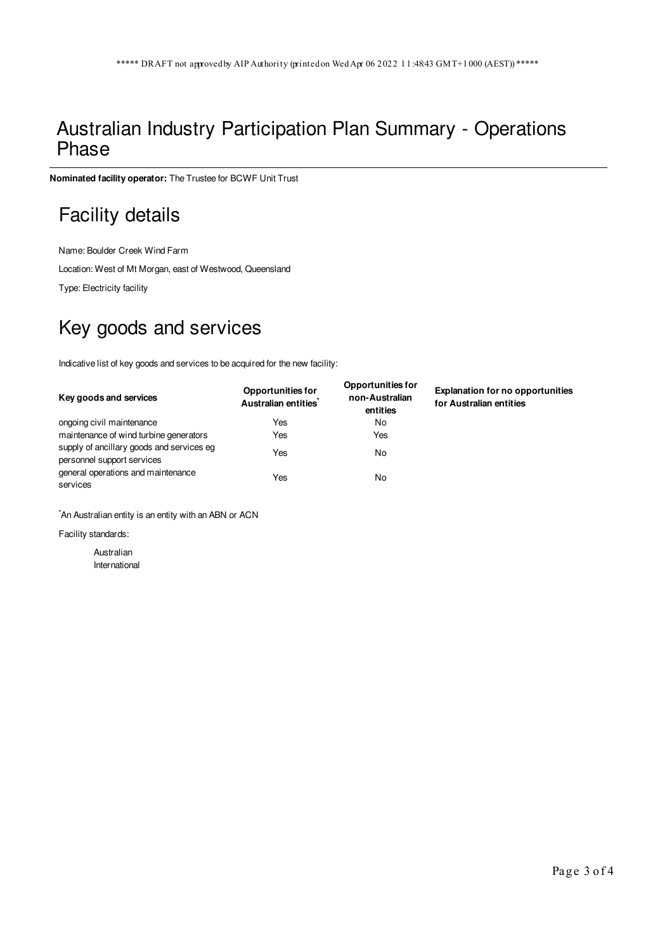#### Australian Industry Participation Plan Summary - Operations Phase

**Nominated facility operator:** The Trustee for BCWF Unit Trust

## Facility details

Name: Boulder Creek Wind Farm

Location: West of Mt Morgan, east of Westwood, Queensland

Type: Electricity facility

# Key goods and services

Indicative list of key goods and services to be acquired for the new facility:

| Key goods and services                                                  | <b>Opportunities for</b><br>Australian entities <sup>*</sup> | <b>Opportunities for</b><br>non-Australian<br>entities | <b>Explanation for no opportunities</b><br>for Australian entities |
|-------------------------------------------------------------------------|--------------------------------------------------------------|--------------------------------------------------------|--------------------------------------------------------------------|
| ongoing civil maintenance                                               | Yes                                                          | No                                                     |                                                                    |
| maintenance of wind turbine generators                                  | Yes                                                          | Yes                                                    |                                                                    |
| supply of ancillary goods and services eg<br>personnel support services | Yes                                                          | No                                                     |                                                                    |
| general operations and maintenance<br>services                          | Yes                                                          | No                                                     |                                                                    |

\*An Australian entity is an entity with an ABN or ACN

Facility standards:

Australian International